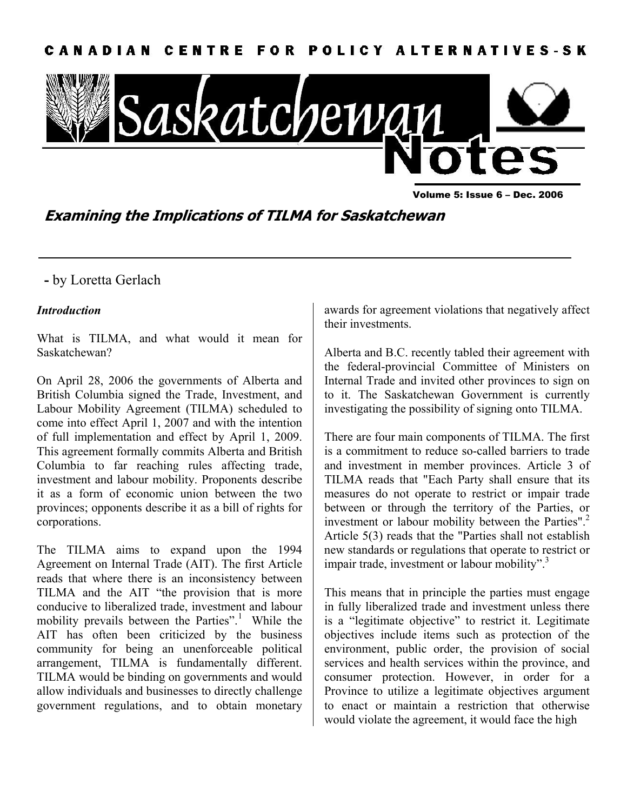

Volume 5: Issue 6 – Dec. 2006

**Examining the Implications of TILMA for Saskatchewan** 

# **-** by Loretta Gerlach

## *Introduction*

What is TILMA, and what would it mean for Saskatchewan?

On April 28, 2006 the governments of Alberta and British Columbia signed the Trade, Investment, and Labour Mobility Agreement (TILMA) scheduled to come into effect April 1, 2007 and with the intention of full implementation and effect by April 1, 2009. This agreement formally commits Alberta and British Columbia to far reaching rules affecting trade, investment and labour mobility. Proponents describe it as a form of economic union between the two provinces; opponents describe it as a bill of rights for corporations.

The TILMA aims to expand upon the 1994 Agreement on Internal Trade (AIT). The first Article reads that where there is an inconsistency between TILMA and the AIT "the provision that is more conducive to liberalized trade, investment and labour mobility prevails between the Parties".<sup>1</sup> While the AIT has often been criticized by the business community for being an unenforceable political arrangement, TILMA is fundamentally different. TILMA would be binding on governments and would allow individuals and businesses to directly challenge government regulations, and to obtain monetary

awards for agreement violations that negatively affect their investments.

Alberta and B.C. recently tabled their agreement with the federal-provincial Committee of Ministers on Internal Trade and invited other provinces to sign on to it. The Saskatchewan Government is currently investigating the possibility of signing onto TILMA.

There are four main components of TILMA. The first is a commitment to reduce so-called barriers to trade and investment in member provinces. Article 3 of TILMA reads that "Each Party shall ensure that its measures do not operate to restrict or impair trade between or through the territory of the Parties, or investment or labour mobility between the Parties".<sup>2</sup> Article 5(3) reads that the "Parties shall not establish new standards or regulations that operate to restrict or impair trade, investment or labour mobility".<sup>3</sup>

This means that in principle the parties must engage in fully liberalized trade and investment unless there is a "legitimate objective" to restrict it. Legitimate objectives include items such as protection of the environment, public order, the provision of social services and health services within the province, and consumer protection. However, in order for a Province to utilize a legitimate objectives argument to enact or maintain a restriction that otherwise would violate the agreement, it would face the high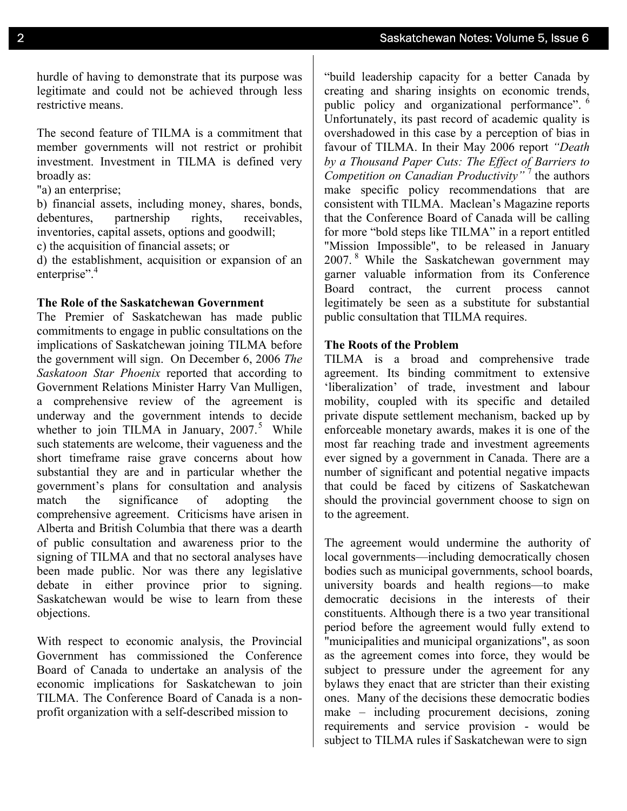hurdle of having to demonstrate that its purpose was legitimate and could not be achieved through less restrictive means.

The second feature of TILMA is a commitment that member governments will not restrict or prohibit investment. Investment in TILMA is defined very broadly as:

"a) an enterprise;

b) financial assets, including money, shares, bonds, debentures, partnership rights, receivables, inventories, capital assets, options and goodwill;

c) the acquisition of financial assets; or

d) the establishment, acquisition or expansion of an enterprise".<sup>4</sup>

#### **The Role of the Saskatchewan Government**

The Premier of Saskatchewan has made public commitments to engage in public consultations on the implications of Saskatchewan joining TILMA before the government will sign. On December 6, 2006 *The Saskatoon Star Phoenix* reported that according to Government Relations Minister Harry Van Mulligen, a comprehensive review of the agreement is underway and the government intends to decide whether to join TILMA in January,  $2007$ .<sup>5</sup> While such statements are welcome, their vagueness and the short timeframe raise grave concerns about how substantial they are and in particular whether the government's plans for consultation and analysis match the significance of adopting the comprehensive agreement. Criticisms have arisen in Alberta and British Columbia that there was a dearth of public consultation and awareness prior to the signing of TILMA and that no sectoral analyses have been made public. Nor was there any legislative debate in either province prior to signing. Saskatchewan would be wise to learn from these objections.

With respect to economic analysis, the Provincial Government has commissioned the Conference Board of Canada to undertake an analysis of the economic implications for Saskatchewan to join TILMA. The Conference Board of Canada is a nonprofit organization with a self-described mission to

"build leadership capacity for a better Canada by creating and sharing insights on economic trends, public policy and organizational performance".<sup>6</sup> Unfortunately, its past record of academic quality is overshadowed in this case by a perception of bias in favour of TILMA. In their May 2006 report *"Death by a Thousand Paper Cuts: The Effect of Barriers to Competition on Canadian Productivity"* <sup>7</sup> the authors make specific policy recommendations that are consistent with TILMA. Maclean's Magazine reports that the Conference Board of Canada will be calling for more "bold steps like TILMA" in a report entitled "Mission Impossible", to be released in January 2007. 8 While the Saskatchewan government may garner valuable information from its Conference Board contract, the current process cannot legitimately be seen as a substitute for substantial public consultation that TILMA requires.

### **The Roots of the Problem**

TILMA is a broad and comprehensive trade agreement. Its binding commitment to extensive 'liberalization' of trade, investment and labour mobility, coupled with its specific and detailed private dispute settlement mechanism, backed up by enforceable monetary awards, makes it is one of the most far reaching trade and investment agreements ever signed by a government in Canada. There are a number of significant and potential negative impacts that could be faced by citizens of Saskatchewan should the provincial government choose to sign on to the agreement.

The agreement would undermine the authority of local governments—including democratically chosen bodies such as municipal governments, school boards, university boards and health regions—to make democratic decisions in the interests of their constituents. Although there is a two year transitional period before the agreement would fully extend to "municipalities and municipal organizations", as soon as the agreement comes into force, they would be subject to pressure under the agreement for any bylaws they enact that are stricter than their existing ones. Many of the decisions these democratic bodies make – including procurement decisions, zoning requirements and service provision - would be subject to TILMA rules if Saskatchewan were to sign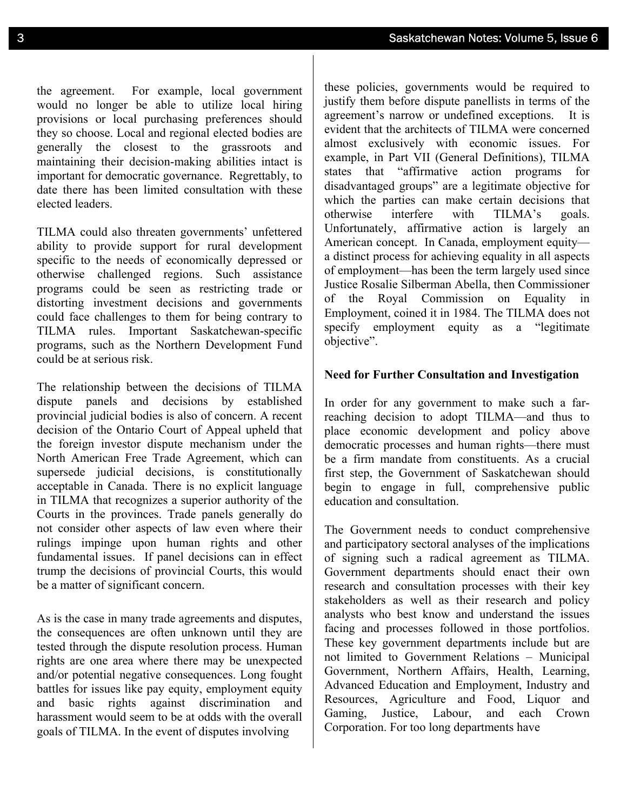the agreement. For example, local government would no longer be able to utilize local hiring provisions or local purchasing preferences should they so choose. Local and regional elected bodies are generally the closest to the grassroots and maintaining their decision-making abilities intact is important for democratic governance. Regrettably, to date there has been limited consultation with these elected leaders.

TILMA could also threaten governments' unfettered ability to provide support for rural development specific to the needs of economically depressed or otherwise challenged regions. Such assistance programs could be seen as restricting trade or distorting investment decisions and governments could face challenges to them for being contrary to TILMA rules. Important Saskatchewan-specific programs, such as the Northern Development Fund could be at serious risk.

The relationship between the decisions of TILMA dispute panels and decisions by established provincial judicial bodies is also of concern. A recent decision of the Ontario Court of Appeal upheld that the foreign investor dispute mechanism under the North American Free Trade Agreement, which can supersede judicial decisions, is constitutionally acceptable in Canada. There is no explicit language in TILMA that recognizes a superior authority of the Courts in the provinces. Trade panels generally do not consider other aspects of law even where their rulings impinge upon human rights and other fundamental issues. If panel decisions can in effect trump the decisions of provincial Courts, this would be a matter of significant concern.

As is the case in many trade agreements and disputes, the consequences are often unknown until they are tested through the dispute resolution process. Human rights are one area where there may be unexpected and/or potential negative consequences. Long fought battles for issues like pay equity, employment equity and basic rights against discrimination and harassment would seem to be at odds with the overall goals of TILMA. In the event of disputes involving

these policies, governments would be required to justify them before dispute panellists in terms of the agreement's narrow or undefined exceptions. It is evident that the architects of TILMA were concerned almost exclusively with economic issues. For example, in Part VII (General Definitions), TILMA states that "affirmative action programs for disadvantaged groups" are a legitimate objective for which the parties can make certain decisions that otherwise interfere with TILMA's goals. Unfortunately, affirmative action is largely an American concept. In Canada, employment equity a distinct process for achieving equality in all aspects of employment—has been the term largely used since Justice Rosalie Silberman Abella, then Commissioner of the Royal Commission on Equality in Employment, coined it in 1984. The TILMA does not specify employment equity as a "legitimate objective".

# **Need for Further Consultation and Investigation**

In order for any government to make such a farreaching decision to adopt TILMA—and thus to place economic development and policy above democratic processes and human rights—there must be a firm mandate from constituents. As a crucial first step, the Government of Saskatchewan should begin to engage in full, comprehensive public education and consultation.

The Government needs to conduct comprehensive and participatory sectoral analyses of the implications of signing such a radical agreement as TILMA. Government departments should enact their own research and consultation processes with their key stakeholders as well as their research and policy analysts who best know and understand the issues facing and processes followed in those portfolios. These key government departments include but are not limited to Government Relations – Municipal Government, Northern Affairs, Health, Learning, Advanced Education and Employment, Industry and Resources, Agriculture and Food, Liquor and Gaming, Justice, Labour, and each Crown Corporation. For too long departments have